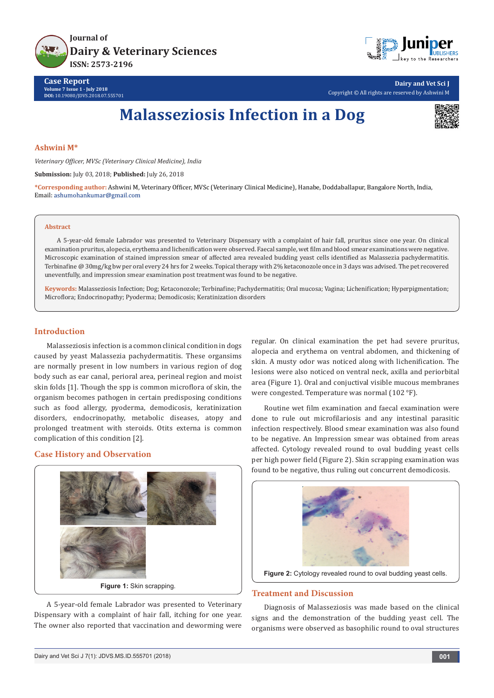



**Case Report Volume 7 Issue 1 - July 2018 DOI:** [10.19080/JDVS.2018.07.555701](http://dx.doi.org/10.19080/JDVS.2018.07.555701)

**Dairy and Vet Sci J** Copyright © All rights are reserved by Ashwini M

# **Malasseziosis Infection in a Dog**



#### **Ashwini M\***

*Veterinary Officer, MVSc (Veterinary Clinical Medicine), India*

**Submission:** July 03, 2018; **Published:** July 26, 2018

**\*Corresponding author:** Ashwini M, Veterinary Officer, MVSc (Veterinary Clinical Medicine), Hanabe, Doddaballapur, Bangalore North, India, Email: ashumohankumar@gmail.com

#### **Abstract**

A 5-year-old female Labrador was presented to Veterinary Dispensary with a complaint of hair fall, pruritus since one year. On clinical examination pruritus, alopecia, erythema and lichenification were observed. Faecal sample, wet film and blood smear examinations were negative. Microscopic examination of stained impression smear of affected area revealed budding yeast cells identified as Malassezia pachydermatitis. Terbinafine @ 30mg/kg bw per oral every 24 hrs for 2 weeks. Topical therapy with 2% ketaconozole once in 3 days was advised. The pet recovered uneventfully, and impression smear examination post treatment was found to be negative.

**Keywords:** Malasseziosis Infection; Dog; Ketaconozole; Terbinafine; Pachydermatitis; Oral mucosa; Vagina; Lichenification; Hyperpigmentation; Microflora; Endocrinopathy; Pyoderma; Demodicosis; Keratinization disorders

### **Introduction**

Malasseziosis infection is a common clinical condition in dogs caused by yeast Malassezia pachydermatitis. These organsims are normally present in low numbers in various region of dog body such as ear canal, perioral area, perineal region and moist skin folds [1]. Though the spp is common microflora of skin, the organism becomes pathogen in certain predisposing conditions such as food allergy, pyoderma, demodicosis, keratinization disorders, endocrinopathy, metabolic diseases, atopy and prolonged treatment with steroids. Otits externa is common complication of this condition [2].

### **Case History and Observation**



A 5-year-old female Labrador was presented to Veterinary Dispensary with a complaint of hair fall, itching for one year. The owner also reported that vaccination and deworming were

regular. On clinical examination the pet had severe pruritus, alopecia and erythema on ventral abdomen, and thickening of skin. A musty odor was noticed along with lichenification. The lesions were also noticed on ventral neck, axilla and periorbital area (Figure 1). Oral and conjuctival visible mucous membranes were congested. Temperature was normal (102 °F).

Routine wet film examination and faecal examination were done to rule out microfilariosis and any intestinal parasitic infection respectively. Blood smear examination was also found to be negative. An Impression smear was obtained from areas affected. Cytology revealed round to oval budding yeast cells per high power field (Figure 2). Skin scrapping examination was found to be negative, thus ruling out concurrent demodicosis.



**Figure 2:** Cytology revealed round to oval budding yeast cells.

# **Treatment and Discussion**

Diagnosis of Malasseziosis was made based on the clinical signs and the demonstration of the budding yeast cell. The organisms were observed as basophilic round to oval structures